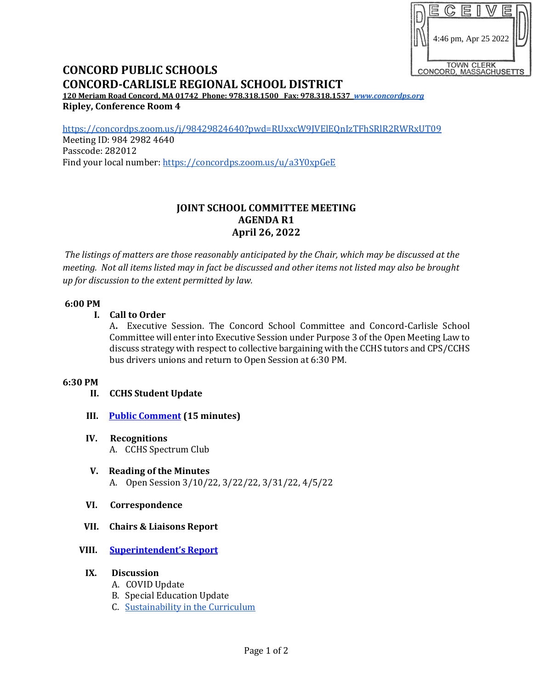|                                             |  |                      | lÊ. |  |  |  |  |
|---------------------------------------------|--|----------------------|-----|--|--|--|--|
|                                             |  | 4:46 pm, Apr 25 2022 |     |  |  |  |  |
| <b>TOWN CLERK</b><br>CONCORD, MASSACHUSETTS |  |                      |     |  |  |  |  |

# **CONCORD PUBLIC SCHOOLS CONCORD-CARLISLE REGIONAL SCHOOL DISTRICT**

**120 Meriam Road Concord, MA 01742 Phone: 978.318.1500 Fax: 978.318.1537** *[www.concordps.org](http://www.concordps.org/)* **Ripley, Conference Room 4**

<https://concordps.zoom.us/j/98429824640?pwd=RUxxcW9JVElEQnIzTFhSRlR2RWRxUT09> Meeting ID: 984 2982 4640

Passcode: 282012 Find your local number:<https://concordps.zoom.us/u/a3Y0xpGeE>

# **JOINT SCHOOL COMMITTEE MEETING AGENDA R1 April 26, 2022**

*The listings of matters are those reasonably anticipated by the Chair, which may be discussed at the meeting. Not all items listed may in fact be discussed and other items not listed may also be brought up for discussion to the extent permitted by law.*

## **6:00 PM**

## **I. Call to Order**

A**.** Executive Session. The Concord School Committee and Concord-Carlisle School Committee will enter into Executive Session under Purpose 3 of the Open Meeting Law to discuss strategy with respect to collective bargaining with the CCHS tutors and CPS/CCHS bus drivers unions and return to Open Session at 6:30 PM.

#### **6:30 PM**

# **II. CCHS Student Update**

- **III. [Public Comment](https://www.concordps.org/wp-content/uploads/2022/04/SCHOOL-COMMITTEE-MEETINGS.pdf) (15 minutes)**
- **IV. Recognitions** A. CCHS Spectrum Club
- **V. Reading of the Minutes** A. Open Session 3/10/22, 3/22/22, 3/31/22, 4/5/22

#### **VI. Correspondence**

**VII. Chairs & Liaisons Report**

# **VIII. [Superintendent's Repor](https://www.concordps.org/wp-content/uploads/2022/04/School-Committee-Report-4.26.22.pdf)t**

- **IX. Discussion**
	- A. COVID Update
	- B. Special Education Update
	- C. [Sustainability in the Curriculum](https://www.concordps.org/wp-content/uploads/2022/04/2022-Sustainability-Curriculum-in-CPS_CCHS.pdf)